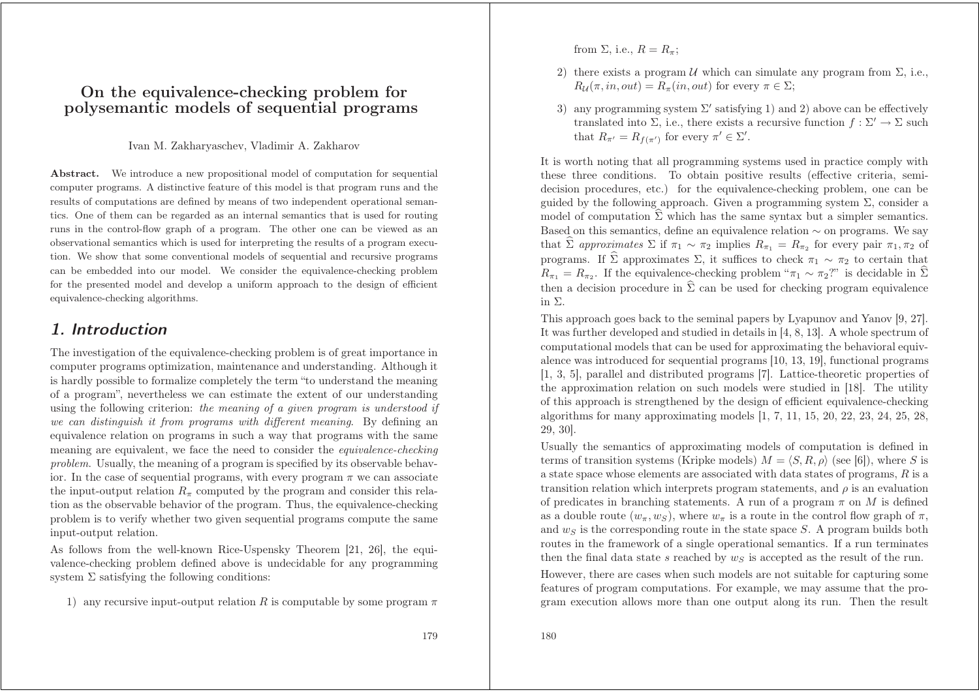### **On the equivalence-checking problem for polysemantic models of sequential programs**

#### Ivan M. Zakharyaschev, Vladimir A. Zakharov

Abstract. We introduce <sup>a</sup> new propositional model of computation for sequential computer programs. A distinctive feature of this model is that program runs and the results of computations are defined by means of two independent operational semantics. One of them can be regarded as an internal semantics that is used for routing runs in the control-flow graph of <sup>a</sup> program. The other one can be viewed as an observational semantics which is used for interpreting the results of <sup>a</sup> program execution. We show that some conventional models of sequential and recursive programs can be embedded into our model. We consider the equivalence-checking problem for the presented model and develop <sup>a</sup> uniform approach to the design of efficient equivalence-checking algorithms.

# 1. Introduction

The investigation of the equivalence-checking problem is of great importance in computer programs optimization, maintenance and understanding. Although it is hardly possible to formalize completely the term "to understand the meaning of <sup>a</sup> program", nevertheless we can estimate the extent of our understanding using the following criterion: *the meaning of <sup>a</sup> given program is understood if we can distinguish it from programs with different meaning*. By defining an equivalence relation on programs in such <sup>a</sup> way that programs with the same meaning are equivalent, we face the need to consider the *equivalence-checking problem*. Usually, the meaning of <sup>a</sup> program is specified by its observable behavior. In the case of sequential programs, with every program  $\pi$  we can associate the input-output relation  $R_{\pi}$  computed by the program and consider this relation as the observable behavior of the program. Thus, the equivalence-checking problem is to verify whether two given sequential programs compute the same input-output relation.

As follows from the well-known Rice-Uspensky Theorem [21, 26], the equivalence-checking problem defined above is undecidable for any programming system  $\Sigma$  satisfying the following conditions:

1) any recursive input-output relation R is computable by some program  $\pi$ 

from  $\Sigma$ , i.e.,  $R = R_{\pi}$ ;

- 2) there exists a program  $U$  which can simulate any program from  $\Sigma$ , i.e.,  $R_{\mathcal{U}}(\pi, in, out) = R_{\pi}(in, out)$  for every  $\pi \in \Sigma;$
- 3) any programming system  $\Sigma'$  satisfying 1) and 2) above can be effectively translated into  $\Sigma$ , i.e., there exists a recursive function  $f : \Sigma' \to \Sigma$  such that  $R_{\pi'} = R_{f(\pi')}$  for every  $\pi' \in \Sigma'.$

It is worth noting that all programming systems used in practice comply with these three conditions. To obtain positive results (effective criteria, semidecision procedures, etc.) for the equivalence-checking problem, one can be guided by the following approach. Given a programming system  $\Sigma$ , consider a model of computation  $\hat{\Sigma}$  which has the same syntax but a simpler semantics. Based on this semantics, define an equivalence relation ∼ on programs. We say that  $\widehat{\Sigma}$  approximates  $\Sigma$  if  $\pi_1 \sim \pi_2$  implies  $R_{\pi_1} = R_{\pi_2}$  for every pair  $\pi_1, \pi_2$  of programs. If  $\hat{\Sigma}$  approximates  $\Sigma$ , it suffices to check  $\pi_1 \sim \pi_2$  to certain that  $R_{\pi_1} = R_{\pi_2}$ . If the equivalence-checking problem " $\pi_1 \sim \pi_2$ ?" is decidable in  $\widehat{\Sigma}$ then a decision procedure in  $\hat{\Sigma}$  can be used for checking program equivalence in Σ.

This approac<sup>h</sup> goes back to the seminal papers by Lyapunov and Yanov [9, 27]. It was further developed and studied in details in [4, 8, 13]. A whole spectrum of computational models that can be used for approximating the behavioral equivalence was introduced for sequential programs [10, 13, 19], functional programs [1, 3, 5], parallel and distributed programs [7]. Lattice-theoretic properties of the approximation relation on such models were studied in [18]. The utility of this approach is strengthened by the design of efficient equivalence-checking algorithms for many approximating models  $[1, 7, 11, 15, 20, 22, 23, 24, 25, 28,$ 29, 30].

Usually the semantics of approximating models of computation is defined in terms of transition systems (Kripke models)  $M = \langle S, R, \rho \rangle$  (see [6]), where S is <sup>a</sup> state space whose elements are associated with data states of programs, R is <sup>a</sup> transition relation which interprets program statements, and  $\rho$  is an evaluation of predicates in branching statements. A run of a program  $\pi$  on M is defined as a double route  $(w_{\pi}, w_S)$ , where  $w_{\pi}$  is a route in the control flow graph of  $\pi$ , and  $w<sub>S</sub>$  is the corresponding route in the state space S. A program builds both routes in the framework of <sup>a</sup> single operational semantics. If <sup>a</sup> run terminates then the final data state s reached by  $w_S$  is accepted as the result of the run.

However, there are cases when such models are not suitable for capturing some features of program computations. For example, we may assume that the program execution allows more than one output along its run. Then the result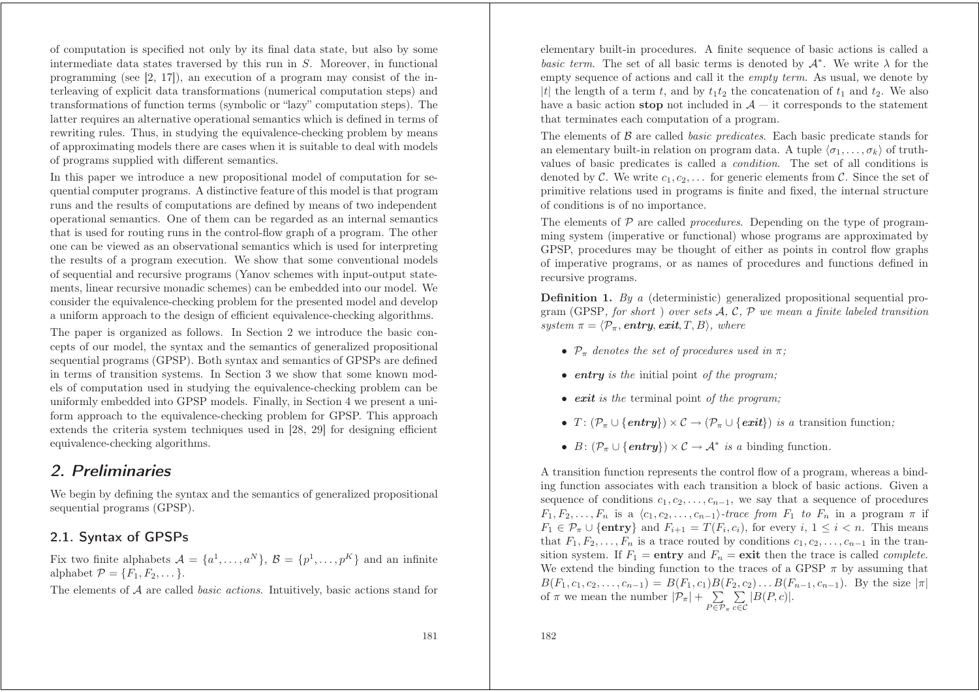of computation is specified not only by its final data state, but also by some intermediate data states traversed by this run in S. Moreover, in functional programming (see  $[2, 17]$ ), an execution of a program may consist of the interleaving of explicit data transformations (numerical computation steps) and transformations of function terms (symbolic or "lazy" computation steps). The latter requires an alternative operational semantics which is defined in terms of rewriting rules. Thus, in studying the equivalence-checking problem by means of approximating models there are cases when it is suitable to deal with models of programs supplied with different semantics.

In this paper we introduce <sup>a</sup> new propositional model of computation for sequential computer programs. A distinctive feature of this model is that program runs and the results of computations are defined by means of two independent operational semantics. One of them can be regarded as an internal semantics that is used for routing runs in the control-flow graph of <sup>a</sup> program. The other one can be viewed as an observational semantics which is used for interpreting the results of <sup>a</sup> program execution. We show that some conventional models of sequential and recursive programs (Yanov schemes with input-output statements, linear recursive monadic schemes) can be embedded into our model. We consider the equivalence-checking problem for the presented model and develop <sup>a</sup> uniform approach to the design of efficient equivalence-checking algorithms.

The paper is organized as follows. In Section 2 we introduce the basic concepts of our model, the syntax and the semantics of generalized propositional sequential programs (GPSP). Both syntax and semantics of GPSPs are defined in terms of transition systems. In Section 3 we show that some known models of computation used in studying the equivalence-checking problem can be uniformly embedded into GPSP models. Finally, in Section 4 we present <sup>a</sup> uniform approach to the equivalence-checking problem for GPSP. This approach extends the criteria system techniques used in [28, 29] for designing efficient equivalence-checking algorithms.

# 2. Preliminaries

We begin by defining the syntax and the semantics of generalized propositional sequential programs (GPSP).

### 2.1. Syntax of GPSPs

Fix two finite alphabets  $\mathcal{A} = \{a^1, \ldots, a^N\}, \mathcal{B} = \{p^1, \ldots, p^K\}$  and an infinite alphabet  $\mathcal{P} = \{F_1, F_2, \dots\}.$ 

The elements of A are called *basic actions*. Intuitively, basic actions stand for

elementary built-in procedures. A finite sequence of basic actions is called <sup>a</sup> *basic term*. The set of all basic terms is denoted by  $A^*$ . We write  $\lambda$  for the empty sequence of actions and call it the *empty term*. As usual, we denote by |t| the length of a term t, and by  $t_1t_2$  the concatenation of  $t_1$  and  $t_2$ . We also have a basic action **stop** not included in  $A$  – it corresponds to the statement that terminates each computation of <sup>a</sup> program.

The elements of B are called *basic predicates*. Each basic predicate stands for an elementary built-in relation on program data. A tuple  $\langle \sigma_1, \ldots, \sigma_k \rangle$  of truthvalues of basic predicates is called <sup>a</sup> *condition*. The set of all conditions is denoted by C. We write  $c_1, c_2, \ldots$  for generic elements from C. Since the set of primitive relations used in programs is finite and fixed, the internal structure of conditions is of no importance.

The elements of P are called *procedures*. Depending on the type of programming system (imperative or functional) whose programs are approximated by GPSP, procedures may be thought of either as points in control flow graphs of imperative programs, or as names of procedures and functions defined in recursive programs.

**Definition 1.** *By <sup>a</sup>* (deterministic) generalized propositional sequential program (GPSP*, for short* ) *over sets* A*,* C*,* P *we mean <sup>a</sup> finite labeled transition*  $system\ \pi = \langle \mathcal{P}_{\pi},\,\text{\textit{entry}},\,\text{\textit{exit}},T,B \rangle,\,\,where$ 

- $\mathcal{P}_{\pi}$  denotes the set of procedures used in  $\pi$ ;
- *entry is the* initial point *of the program;*
- *exit is the* terminal point *of the program;*
- $T: (\mathcal{P}_{\pi} \cup \{entry\}) \times \mathcal{C} \rightarrow (\mathcal{P}_{\pi} \cup \{exit\})$  *is a* transition function;
- $B: (\mathcal{P}_{\pi} \cup \{\text{entry}\}) \times \mathcal{C} \rightarrow \mathcal{A}^*$  *is a* binding function.

A transition function represents the control flow of <sup>a</sup> program, whereas <sup>a</sup> binding function associates with each transition <sup>a</sup> block of basic actions. Given <sup>a</sup> sequence of conditions  $c_1, c_2, \ldots, c_{n-1}$ , we say that a sequence of procedures  $F_1, F_2, \ldots, F_n$  is a  $\langle c_1, c_2, \ldots, c_{n-1} \rangle$ -trace from  $F_1$  to  $F_n$  in a program  $\pi$  if  $F_1 \in \mathcal{P}_{\pi} \cup \{\textbf{entry}\}\$ and  $F_{i+1} = T(F_i, c_i)$ , for every  $i, 1 \leq i < n$ . This means that  $F_1, F_2, \ldots, F_n$  is a trace routed by conditions  $c_1, c_2, \ldots, c_{n-1}$  in the transition system. If  $F_1 =$ **entry** and  $F_n =$ **exit** then the trace is called *complete.* We extend the binding function to the traces of a GPSP  $\pi$  by assuming that  $B(F_1, c_1, c_2, \ldots, c_{n-1}) = B(F_1, c_1)B(F_2, c_2) \ldots B(F_{n-1}, c_{n-1}).$  By the size  $|\pi|$ of  $\pi$  we mean the number  $|\mathcal{P}_{\pi}| + \sum_{P \in \mathcal{P}_{\pi}} \sum_{c \in \mathcal{C}} |B(P, c)|$ .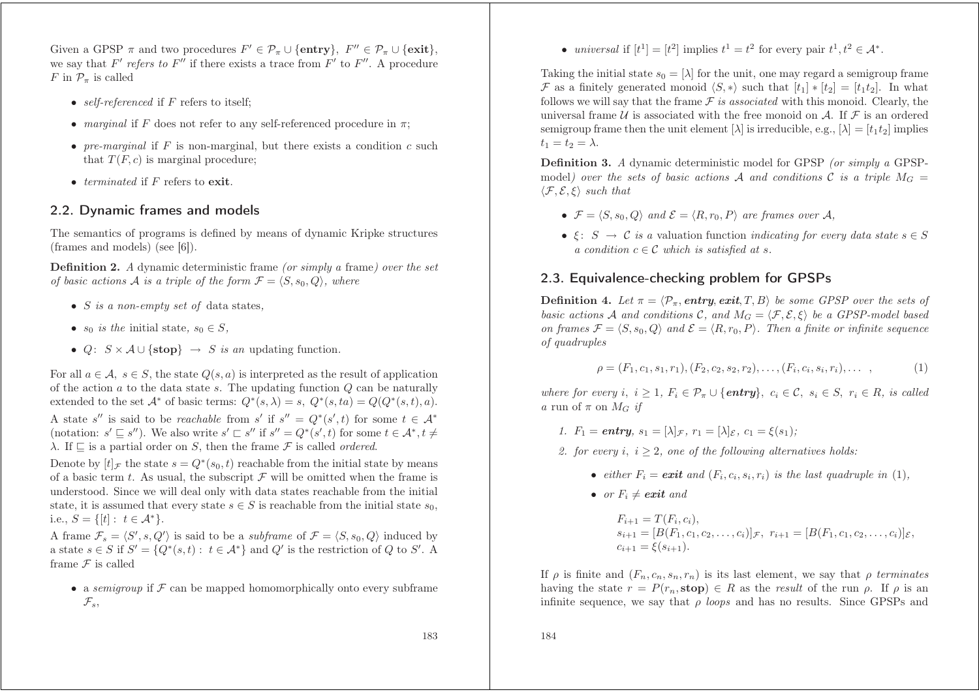Given a GPSP  $\pi$  and two procedures  $F' \in \mathcal{P}_{\pi} \cup \{\text{entry}\},\ F'' \in \mathcal{P}_{\pi} \cup \{\text{exit}\},\$ we say that  $F'$  refers to  $F''$  if there exists a trace from  $F'$  to  $F''$ . A procedure F in  $\mathcal{P}_{\pi}$  is called

- *self-referenced* if F refers to itself;
- *marginal* if F does not refer to any self-referenced procedure in  $\pi$ ;
- *pre-marginal* if F is non-marginal, but there exists a condition c such that  $T(F, c)$  is marginal procedure;
- *terminated* if F refers to exit.

#### 2.2. Dynamic frames and models

The semantics of programs is defined by means of dynamic Kripke structures (frames and models) (see [6]).

**Definition 2.** *A* dynamic deterministic frame *(or simply <sup>a</sup>* frame*) over the set of basic actions* A *is a triple of the form*  $\mathcal{F} = \langle S, s_0, Q \rangle$ *, where* 

- S *is <sup>a</sup> non-empty set of* data states*,*
- $s_0$  *is the* initial state,  $s_0 \in S$ ,
- $Q: S \times A \cup \{\text{stop}\} \rightarrow S$  *is an* updating function.

For all  $a \in \mathcal{A}, s \in S$ , the state  $Q(s, a)$  is interpreted as the result of application of the action  $a$  to the data state s. The updating function  $Q$  can be naturally extended to the set  $\mathcal{A}^*$  of basic terms:  $Q^*(s,\lambda) = s$ ,  $Q^*(s, ta) = Q(Q^*(s,t), a)$ . A state s'' is said to be *reachable* from s' if  $s'' = Q^*(s', t)$  for some  $t \in A^*$ (notation:  $s' \sqsubseteq s''$ ). We also write  $s' \sqsubset s''$  if  $s'' = Q^*(s', t)$  for some  $t \in A^*, t \neq t$  $\lambda$ . If  $\Box$  is a partial order on S, then the frame  $\mathcal F$  is called *ordered*.

Denote by  $[t]_F$  the state  $s = Q^*(s_0, t)$  reachable from the initial state by means of a basic term t. As usual, the subscript  $\mathcal F$  will be omitted when the frame is understood. Since we will deal only with data states reachable from the initial state, it is assumed that every state  $s \in S$  is reachable from the initial state  $s_0$ , i.e.,  $S = \{ [t] : t \in \mathcal{A}^* \}.$ 

A frame  $\mathcal{F}_s = \langle S', s, Q' \rangle$  is said to be a *subframe* of  $\mathcal{F} = \langle S, s_0, Q \rangle$  induced by a state  $s \in S$  if  $S' = \{Q^*(s,t) : t \in \mathcal{A}^*\}\$ and  $Q'$  is the restriction of Q to S'. A frame  $\mathcal F$  is called

• a *semigroup* if  $\mathcal F$  can be mapped homomorphically onto every subframe  $\mathcal{F}_s$ ,

• *universal* if  $[t^1] = [t^2]$  implies  $t^1 = t^2$  for every pair  $t^1, t^2 \in \mathcal{A}^*$ .

Taking the initial state  $s_0 = [\lambda]$  for the unit, one may regard a semigroup frame F as a finitely generated monoid  $\langle S, * \rangle$  such that  $[t_1] * [t_2] = [t_1t_2]$ . In what follows we will say that the frame  $F$  *is associated* with this monoid. Clearly, the universal frame U is associated with the free monoid on A. If  $\mathcal F$  is an ordered semigroup frame then the unit element  $[\lambda]$  is irreducible, e.g.,  $[\lambda] = [t_1t_2]$  implies  $t_1 = t_2 = \lambda$ .

**Definition 3.** *A* dynamic deterministic model for GPSP *(or simply <sup>a</sup>* GPSPmodel*)* over the sets of basic actions A and conditions C is a triple  $M_G =$  $\langle \mathcal{F}, \mathcal{E}, \xi \rangle$  *such that* 

- $\mathcal{F} = \langle S, s_0, Q \rangle$  and  $\mathcal{E} = \langle R, r_0, P \rangle$  are frames over A,
- $\xi: S \rightarrow C$  *is a* valuation function *indicating* for every data state  $s \in S$  $a$  *condition*  $c \in \mathcal{C}$  *which is satisfied at s.*

#### 2.3. Equivalence-checking problem for GPSPs

**Definition** 4. Let  $\pi = \langle \mathcal{P}_{\pi}, \text{entry}, \text{exit}, T, B \rangle$  be some GPSP over the sets of *basic* actions A and conditions C, and  $M_G = \langle \mathcal{F}, \mathcal{E}, \xi \rangle$  be a GPSP-model based *on* frames  $\mathcal{F} = \langle S, s_0, Q \rangle$  and  $\mathcal{E} = \langle R, r_0, P \rangle$ . Then a finite or infinite sequence *of quadruples*

$$
\rho = (F_1, c_1, s_1, r_1), (F_2, c_2, s_2, r_2), \dots, (F_i, c_i, s_i, r_i), \dots,
$$
\n(1)

*where for every i,*  $i > 1$ *,*  $F_i \in \mathcal{P}_{\pi} \cup \{$ *entry*,  $c_i \in \mathcal{C}, s_i \in S, r_i \in R$ *, is called a* run of  $\pi$  on  $M_G$  *if* 

- *1.*  $F_1 = \text{entry}, s_1 = [\lambda]_F, r_1 = [\lambda]_E, c_1 = \xi(s_1)$ ;
- 2. *for every*  $i, i \geq 2$ *, one of the following alternatives holds:* 
	- *either*  $F_i = \textbf{exit}$  and  $(F_i, c_i, s_i, r_i)$  is the last quadruple in (1),
	- *or*  $F_i \neq \boldsymbol{exit}$  and

$$
F_{i+1} = T(F_i, c_i),
$$
  
\n
$$
s_{i+1} = [B(F_1, c_1, c_2, \dots, c_i)]_{\mathcal{F}}, r_{i+1} = [B(F_1, c_1, c_2, \dots, c_i)]_{\mathcal{E}},
$$
  
\n
$$
c_{i+1} = \xi(s_{i+1}).
$$

If  $\rho$  is finite and  $(F_n, c_n, s_n, r_n)$  is its last element, we say that  $\rho$  *terminates* having the state  $r = P(r_n, \text{stop}) \in R$  as the *result* of the run  $\rho$ . If  $\rho$  is an infinite sequence, we say that ρ *loops* and has no results. Since GPSPs and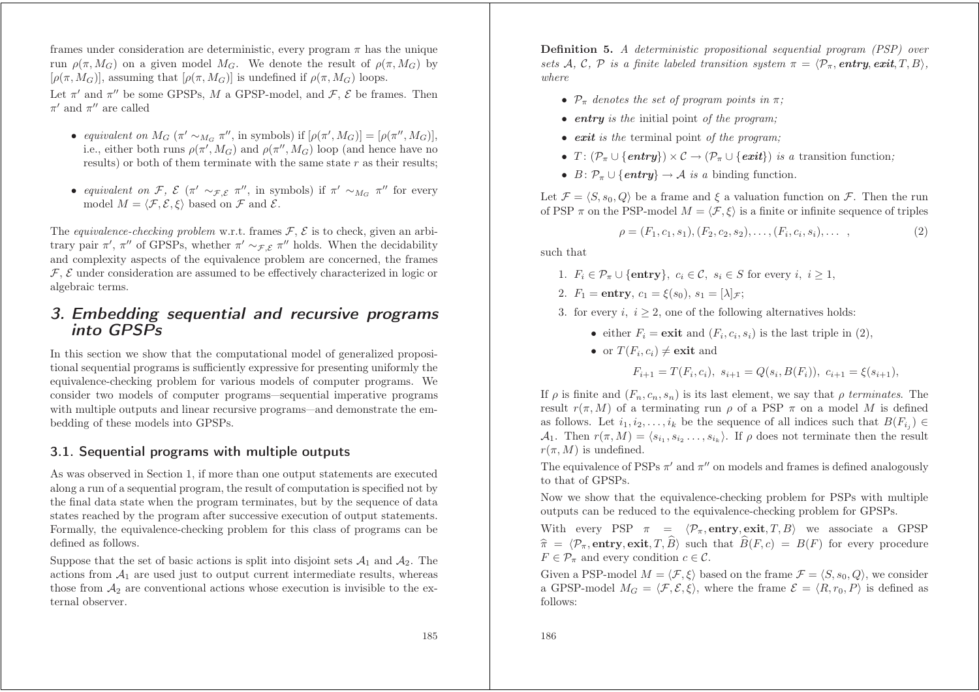frames under consideration are deterministic, every program  $\pi$  has the unique run  $\rho(\pi, M_G)$  on a given model  $M_G$ . We denote the result of  $\rho(\pi, M_G)$  by  $[\rho(\pi, M_G)]$ , assuming that  $[\rho(\pi, M_G)]$  is undefined if  $\rho(\pi, M_G)$  loops.

Let  $\pi'$  and  $\pi''$  be some GPSPs, M a GPSP-model, and  $\mathcal{F}, \mathcal{E}$  be frames. Then  $\pi'$  and  $\pi''$  are called

- *equivalent on*  $M_G$  ( $\pi' \sim_{M_G} \pi''$ , in symbols) if  $[\rho(\pi', M_G)] = [\rho(\pi'', M_G)],$ i.e., either both runs  $\rho(\pi', M_G)$  and  $\rho(\pi'', M_G)$  loop (and hence have no results) or both of them terminate with the same state  $r$  as their results;
- *equivalent on*  $\mathcal{F}, \ \mathcal{E}$  ( $\pi' \sim_{\mathcal{F}, \mathcal{E}} \pi''$ , in symbols) if  $\pi' \sim_{M_G} \pi''$  for every model  $M = \langle \mathcal{F}, \mathcal{E}, \xi \rangle$  based on  $\mathcal{F}$  and  $\mathcal{E}$ .

The *equivalence-checking problem* w.r.t. frames  $\mathcal{F}, \mathcal{E}$  is to check, given an arbitrary pair  $\pi'$ ,  $\pi''$  of GPSPs, whether  $\pi' \sim_{\mathcal{F}, \mathcal{E}} \pi''$  holds. When the decidability and complexity aspects of the equivalence problem are concerned, the frames  $\mathcal{F}$ ,  $\mathcal{E}$  under consideration are assumed to be effectively characterized in logic or algebraic terms.

### 3. Embedding sequential and recursive programs into GPSPs

In this section we show that the computational model of generalized propositional sequential programs is sufficiently expressive for presenting uniformly the equivalence-checking problem for various models of computer programs. We consider two models of computer programs—sequential imperative programs with multiple outputs and linear recursive programs—and demonstrate the embedding of these models into GPSPs.

#### 3.1. Sequential programs with multiple outputs

As was observed in Section 1, if more than one output statements are executed along <sup>a</sup> run of <sup>a</sup> sequential program, the result of computation is specified not by the final data state when the program terminates, but by the sequence of data states reached by the program after successive execution of output statements. Formally, the equivalence-checking problem for this class of programs can be defined as follows.

Suppose that the set of basic actions is split into disjoint sets  $\mathcal{A}_1$  and  $\mathcal{A}_2$ . The actions from  $A_1$  are used just to output current intermediate results, whereas those from  $A_2$  are conventional actions whose execution is invisible to the external observer.

**Definition 5.** *A deterministic propositional sequential program (PSP) over sets* A, C, P *is a* finite labeled transition system  $\pi = \langle \mathcal{P}_{\pi}, \text{entry}, \text{exit}, T, B \rangle$ . *where*

- $\mathcal{P}_{\pi}$  denotes the set of program points in  $\pi$ ;
- *entry is the* initial point *of the program;*
- *exit is the* terminal point *of the program;*
- $T: (\mathcal{P}_{\pi} \cup \{entry\}) \times \mathcal{C} \rightarrow (\mathcal{P}_{\pi} \cup \{exit\})$  *is a* transition function;
- $B: \mathcal{P}_{\pi} \cup \{\text{entry}\} \to \mathcal{A}$  *is a* binding function.

Let  $\mathcal{F} = \langle S, s_0, Q \rangle$  be a frame and  $\xi$  a valuation function on  $\mathcal{F}$ . Then the run of PSP  $\pi$  on the PSP-model  $M = \langle \mathcal{F}, \xi \rangle$  is a finite or infinite sequence of triples

$$
\rho = (F_1, c_1, s_1), (F_2, c_2, s_2), \dots, (F_i, c_i, s_i), \dots \tag{2}
$$

such that

- 1.  $F_i \in \mathcal{P}_{\pi} \cup \{\text{entry}\}\text{, } c_i \in \mathcal{C}, s_i \in S \text{ for every } i, i \geq 1,$
- 2.  $F_1 = \text{entry}, c_1 = \xi(s_0), s_1 = [\lambda]_{\mathcal{F}};$
- 3. for every  $i, i \geq 2$ , one of the following alternatives holds:
	- either  $F_i = \textbf{exit}$  and  $(F_i, c_i, s_i)$  is the last triple in (2),
	- or  $T(F_i, c_i) \neq \textbf{exit}$  and

$$
F_{i+1} = T(F_i, c_i), \ s_{i+1} = Q(s_i, B(F_i)), \ c_{i+1} = \xi(s_{i+1}),
$$

If  $\rho$  is finite and  $(F_n, c_n, s_n)$  is its last element, we say that  $\rho$  *terminates*. The result  $r(\pi,M)$  of a terminating run  $\rho$  of a PSP  $\pi$  on a model M is defined as follows. Let  $i_1, i_2, \ldots, i_k$  be the sequence of all indices such that  $B(F_{i_i}) \in$  $\mathcal{A}_1$ . Then  $r(\pi, M) = \langle s_{i_1}, s_{i_2}, \ldots, s_{i_k} \rangle$ . If  $\rho$  does not terminate then the result  $r(\pi, M)$  is undefined.

The equivalence of PSPs  $\pi'$  and  $\pi''$  on models and frames is defined analogously to that of GPSPs.

Now we show that the equivalence-checking problem for PSPs with multiple outputs can be reduced to the equivalence-checking problem for GPSPs.

With every PSP  $\pi = \langle \mathcal{P}_{\pi}, \text{entry}, \text{exit}, T, B \rangle$  we associate a GPSP  $\widehat{\pi} = \langle \mathcal{P}_{\pi}, \textbf{entry}, \textbf{exit}, T, \widehat{B} \rangle$  such that  $\widehat{B}(F,c) = B(F)$  for every procedure  $F \in \mathcal{P}_{\pi}$  and every condition  $c \in \mathcal{C}$ .

Given a PSP-model  $M = \langle \mathcal{F}, \xi \rangle$  based on the frame  $\mathcal{F} = \langle S, s_0, Q \rangle$ , we consider a GPSP-model  $M_G = \langle \mathcal{F}, \mathcal{E}, \xi \rangle$ , where the frame  $\mathcal{E} = \langle R, r_0, P \rangle$  is defined as follows: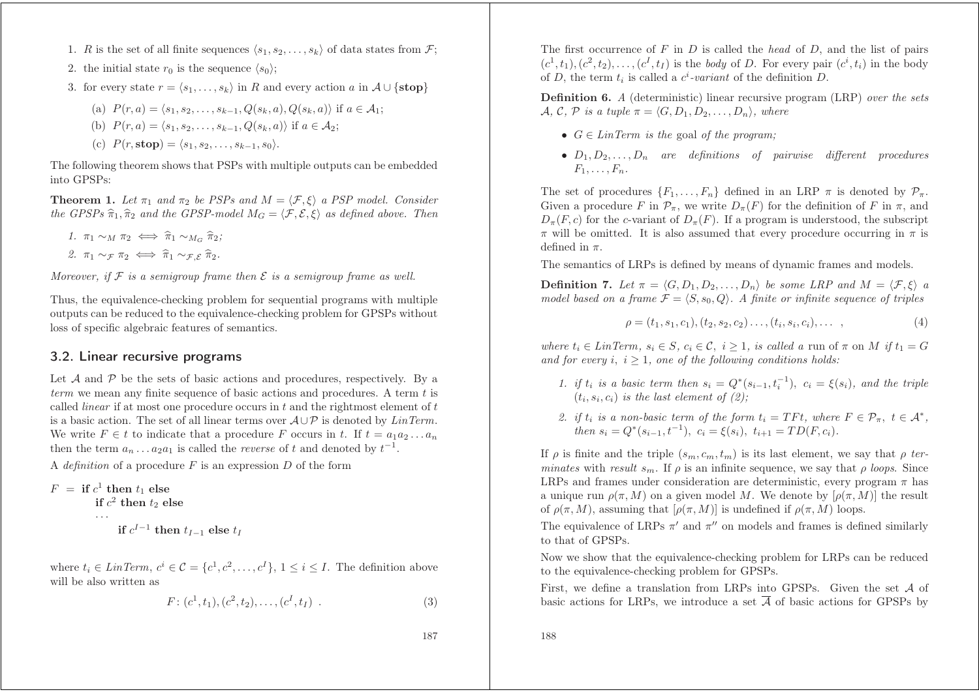- 1. R is the set of all finite sequences  $\langle s_1, s_2, \ldots, s_k \rangle$  of data states from F;
- 2. the initial state  $r_0$  is the sequence  $\langle s_0 \rangle$ ;
- 3. for every state  $r = \langle s_1, \ldots, s_k \rangle$  in R and every action a in  $\mathcal{A} \cup \{ \text{stop} \}$

(a) 
$$
P(r, a) = \langle s_1, s_2, \dots, s_{k-1}, Q(s_k, a), Q(s_k, a) \rangle
$$
 if  $a \in \mathcal{A}_1$ ;

(b) 
$$
P(r, a) = \langle s_1, s_2, \dots, s_{k-1}, Q(s_k, a) \rangle
$$
 if  $a \in \mathcal{A}_2$ ;

(c) 
$$
P(r, \text{stop}) = \langle s_1, s_2, \dots, s_{k-1}, s_0 \rangle
$$
.

The following theorem shows that PSPs with multiple outputs can be embedded into GPSPs:

**Theorem 1.** *Let*  $\pi_1$  *and*  $\pi_2$  *be PSPs and*  $M = \langle \mathcal{F}, \xi \rangle$  *a PSP model. Consider*  $\hat{H}$  *the GPSPs*  $\widehat{\pi}_1$ ,  $\widehat{\pi}_2$  *and the GPSP-model*  $M_G = \langle \mathcal{F}, \mathcal{E}, \xi \rangle$  *as defined above. Then* 

1. 
$$
\pi_1 \sim_M \pi_2 \iff \hat{\pi}_1 \sim_{M_G} \hat{\pi}_2;
$$
  
2.  $\pi_1 \sim_{\mathcal{F}} \pi_2 \iff \hat{\pi}_1 \sim_{\mathcal{F}, \mathcal{E}} \hat{\pi}_2.$ 

Moreover, if F is a semigroup frame then  $\mathcal E$  is a semigroup frame as well.

Thus, the equivalence-checking problem for sequential programs with multiple outputs can be reduced to the equivalence-checking problem for GPSPs without loss of specific algebraic features of semantics.

#### 3.2. Linear recursive programs

Let  $\mathcal A$  and  $\mathcal P$  be the sets of basic actions and procedures, respectively. By a *term* we mean any finite sequence of basic actions and procedures. A term t is called *linear* if at most one procedure occurs in <sup>t</sup> and the rightmost element of <sup>t</sup> is <sup>a</sup> basic action. The set of all linear terms over A∪P is denoted by *LinTerm*. We write  $F \in t$  to indicate that a procedure F occurs in t. If  $t = a_1 a_2 \ldots a_n$ then the term  $a_n \n\t\dots a_2 a_1$  is called the *reverse* of t and denoted by  $t^{-1}$ .

A *definition* of <sup>a</sup> procedure F is an expression D of the form

$$
F = \text{if } c^1 \text{ then } t_1 \text{ else}
$$
  
if  $c^2 \text{ then } t_2 \text{ else}$   
...  
if  $c^{I-1} \text{ then } t_{I-1} \text{ else } t_I$ 

where  $t_i \in \text{LinTerm}, c^i \in \mathcal{C} = \{c^1, c^2, \ldots, c^I\}, 1 \leq i \leq I$ . The definition above will be also written as

$$
F: (c^1, t_1), (c^2, t_2), \dots, (c^I, t_I) \tag{3}
$$

The first occurrence of F in D is called the *head* of D, and the list of pairs  $(c^1, t_1), (c^2, t_2), \ldots, (c^I, t_I)$  is the *body* of D. For every pair  $(c^i, t_i)$  in the body of D, the term  $t_i$  is called a  $c^i$ -variant of the definition D.

**Definition 6.** *A* (deterministic) linear recursive program (LRP) *over the sets*  $\mathcal{A}, \mathcal{C}, \mathcal{P}$  *is a tuple*  $\pi = \langle G, D_1, D_2, \ldots, D_n \rangle$ *, where* 

- $G \in LinTerm$  *is the* goal *of the program*;
- D<sup>1</sup>, D<sup>2</sup>,...,D<sup>n</sup> *are definitions of pairwise different procedures*  $F_1,\ldots,F_n$ .

The set of procedures  $\{F_1,\ldots,F_n\}$  defined in an LRP  $\pi$  is denoted by  $\mathcal{P}_{\pi}$ . Given a procedure F in  $\mathcal{P}_{\pi}$ , we write  $D_{\pi}(F)$  for the definition of F in  $\pi$ , and  $D_{\pi}(F, c)$  for the c-variant of  $D_{\pi}(F)$ . If a program is understood, the subscript  $\pi$  will be omitted. It is also assumed that every procedure occurring in  $\pi$  is defined in  $\pi$ .

The semantics of LRPs is defined by means of dynamic frames and models.

**Definition 7.** *Let*  $\pi = \langle G, D_1, D_2, \ldots, D_n \rangle$  *be some LRP and*  $M = \langle F, \xi \rangle$  *a* model based on a frame  $\mathcal{F} = \langle S, s_0, Q \rangle$ . A finite or infinite sequence of triples

$$
\rho = (t_1, s_1, c_1), (t_2, s_2, c_2) \dots, (t_i, s_i, c_i), \dots \tag{4}
$$

*where*  $t_i \in LinTerm, s_i \in S, c_i \in C, i \geq 1$ , *is called a* run of  $\pi$  on M *if*  $t_1 = G$ *and* for every *i*,  $i \geq 1$ *, one of the following conditions holds:* 

- *1. if*  $t_i$  *is a basic term then*  $s_i = Q^*(s_{i-1}, t_i^{-1}), c_i = \xi(s_i)$ *, and the triple*  $(t_i, s_i, c_i)$  *is the last element of*  $(2)$ ;
- *2. if*  $t_i$  *is a non-basic term of the form*  $t_i = TFt$ *, where*  $F \in \mathcal{P}_{\pi}$ *,*  $t \in \mathcal{A}^*$ *, then*  $s_i = Q^*(s_{i-1}, t^{-1}), c_i = \xi(s_i), t_{i+1} = TD(F, c_i)$ .

If  $\rho$  is finite and the triple  $(s_m, c_m, t_m)$  is its last element, we say that  $\rho$  *terminates* with *result*  $s_m$ . If  $\rho$  is an infinite sequence, we say that  $\rho$  *loops*. Since LRPs and frames under consideration are deterministic, every program  $\pi$  has a unique run  $\rho(\pi,M)$  on a given model M. We denote by  $[\rho(\pi,M)]$  the result of  $\rho(\pi,M)$ , assuming that  $[\rho(\pi,M)]$  is undefined if  $\rho(\pi,M)$  loops.

The equivalence of LRPs  $\pi'$  and  $\pi''$  on models and frames is defined similarly to that of GPSPs.

Now we show that the equivalence-checking problem for LRPs can be reduced to the equivalence-checking problem for GPSPs.

First, we define <sup>a</sup> translation from LRPs into GPSPs. Given the set A of basic actions for LRPs, we introduce a set  $\overline{A}$  of basic actions for GPSPs by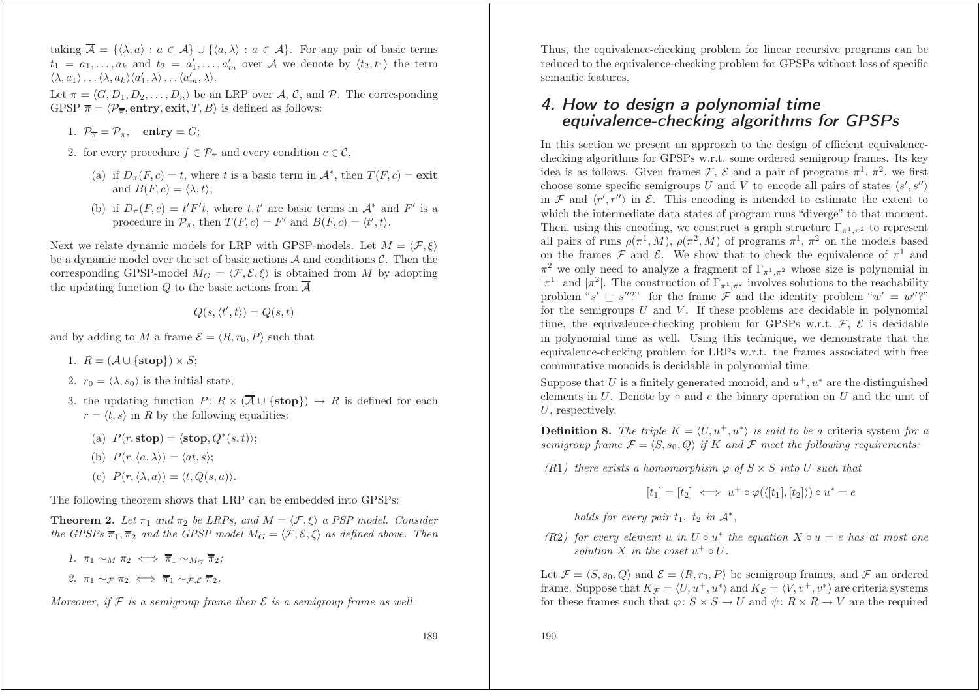taking  $\overline{A} = \{ \langle \lambda, a \rangle : a \in A \} \cup \{ \langle a, \lambda \rangle : a \in A \}$ . For any pair of basic terms  $t_1 = a_1, \ldots, a_k$  and  $t_2 = a'_1, \ldots, a'_m$  over A we denote by  $\langle t_2, t_1 \rangle$  the term  $\langle \lambda, a_1 \rangle \ldots \langle \lambda, a_k \rangle \langle a_1', \lambda \rangle \ldots \langle a_m', \lambda \rangle.$ 

Let  $\pi = \langle G, D_1, D_2, \ldots, D_n \rangle$  be an LRP over A, C, and P. The corresponding GPSP  $\overline{\pi} = \langle \mathcal{P}_{\overline{\pi}}, \text{entry}, \text{exit}, T, B \rangle$  is defined as follows:

- 1.  $\mathcal{P}_{\overline{\pi}} = \mathcal{P}_{\pi}$ , entry = G;
- 2. for every procedure  $f \in \mathcal{P}_{\pi}$  and every condition  $c \in \mathcal{C}$ ,
	- (a) if  $D_{\pi}(F, c) = t$ , where t is a basic term in  $\mathcal{A}^*$ , then  $T(F, c) = \text{exit}$ and  $B(F, c) = \langle \lambda, t \rangle$ ;
	- (b) if  $D_{\pi}(F, c) = t'F't$ , where  $t, t'$  are basic terms in  $\mathcal{A}^*$  and  $F'$  is a procedure in  $\mathcal{P}_{\pi}$ , then  $T(F, c) = F'$  and  $B(F, c) = \langle t', t \rangle$ .

Next we relate dynamic models for LRP with GPSP-models. Let  $M = \langle \mathcal{F}, \xi \rangle$ be a dynamic model over the set of basic actions  $A$  and conditions  $C$ . Then the corresponding GPSP-model  $M_G = \langle \mathcal{F}, \mathcal{E}, \xi \rangle$  is obtained from M by adopting the updating function Q to the basic actions from  $\overline{A}$ 

$$
Q(s,\langle t',t\rangle)=Q(s,t)
$$

and by adding to M a frame  $\mathcal{E} = \langle R, r_0, P \rangle$  such that

- 1.  $R = (\mathcal{A} \cup \{ \text{stop} \}) \times S$ ;
- 2.  $r_0 = \langle \lambda, s_0 \rangle$  is the initial state;
- 3. the updating function  $P: R \times (\overline{A} \cup {\text{stop}})) \rightarrow R$  is defined for each  $r = \langle t, s \rangle$  in R by the following equalities:
	- (a)  $P(r, \text{stop}) = \langle \text{stop}, Q^*(s, t) \rangle;$
	- (b)  $P(r, \langle a, \lambda \rangle) = \langle at, s \rangle;$
	- (c)  $P(r, \langle \lambda, a \rangle) = \langle t, Q(s, a) \rangle$ .

The following theorem shows that LRP can be embedded into GPSPs:

**Theorem 2.** Let  $\pi_1$  and  $\pi_2$  be LRPs, and  $M = \langle \mathcal{F}, \xi \rangle$  a PSP model. Consider *the GPSPs*  $\overline{\pi}_1$ ,  $\overline{\pi}_2$  *and the GPSP* model  $M_G = \langle \mathcal{F}, \mathcal{E}, \xi \rangle$  *as defined above.* Then

*1.*  $\pi_1 \sim_M \pi_2 \iff \overline{\pi}_1 \sim_{M_G} \overline{\pi}_2$ ; 2.  $\pi_1 \sim \pi \pi_2 \iff \overline{\pi}_1 \sim \pi \cdot \overline{\pi}_2$ .

Moreover, if F is a semigroup frame then  $\mathcal E$  is a semigroup frame as well.

Thus, the equivalence-checking problem for linear recursive programs can be reduced to the equivalence-checking problem for GPSPs without loss of specific semantic features.

## 4. How to design <sup>a</sup> polynomial time equivalence-checking algorithms for GPSPs

In this section we present an approach to the design of efficient equivalencechecking algorithms for GPSPs w.r.t. some ordered semigroup frames. Its key idea is as follows. Given frames F,  $\mathcal E$  and a pair of programs  $\pi^1$ ,  $\pi^2$ , we first choose some specific semigroups U and V to encode all pairs of states  $\langle s', s'' \rangle$ in F and  $\langle r', r'' \rangle$  in E. This encoding is intended to estimate the extent to which the intermediate data states of program runs "diverge" to that moment. Then, using this encoding, we construct a graph structure  $\Gamma_{\pi^1,\pi^2}$  to represent all pairs of runs  $\rho(\pi^1, M)$ ,  $\rho(\pi^2, M)$  of programs  $\pi^1, \pi^2$  on the models based on the frames  $\mathcal F$  and  $\mathcal E$ . We show that to check the equivalence of  $\pi^1$  and  $\pi^2$  we only need to analyze a fragment of  $\Gamma_{\pi^1,\pi^2}$  whose size is polynomial in  $|\pi^1|$  and  $|\pi^2|$ . The construction of  $\Gamma_{\pi^1,\pi^2}$  involves solutions to the reachability problem "s'  $\subseteq$  s''?" for the frame F and the identity problem " $w' = w''$ ?" for the semigroups  $U$  and  $V$ . If these problems are decidable in polynomial time, the equivalence-checking problem for GPSPs w.r.t.  $\mathcal{F}$ ,  $\mathcal{E}$  is decidable in polynomial time as well. Using this technique, we demonstrate that the equivalence-checking problem for LRPs w.r.t. the frames associated with free commutative monoids is decidable in polynomial time.

Suppose that U is a finitely generated monoid, and  $u^+, u^*$  are the distinguished elements in U. Denote by  $\circ$  and e the binary operation on U and the unit of U, respectively.

**Definition 8.** The triple  $K = \langle U, u^+, u^* \rangle$  *is said to be a* criteria system for *a semigroup* frame  $\mathcal{F} = \langle S, s_0, Q \rangle$  *if* K and F meet the following requirements:

 $(R1)$  *there exists a homomorphism*  $\varphi$  *of*  $S \times S$  *into* U *such that* 

 $[t_1]=[t_2] \iff u^+\circ \varphi(\langle [t_1],[t_2]\rangle) \circ u^*=e$ 

*holds* for every pair  $t_1$ ,  $t_2$  *in*  $\mathcal{A}^*$ ,

 $(R2)$  *for every element* u *in*  $U \circ u^*$  *the equation*  $X \circ u = e$  *has at most one solution* X *in the coset*  $u^+ \circ U$ .

Let  $\mathcal{F} = \langle S, s_0, Q \rangle$  and  $\mathcal{E} = \langle R, r_0, P \rangle$  be semigroup frames, and  $\mathcal{F}$  an ordered frame. Suppose that  $K_{\mathcal{F}} = \langle U, u^+, u^* \rangle$  and  $K_{\mathcal{E}} = \langle V, v^+, v^* \rangle$  are criteria systems for these frames such that  $\varphi: S \times S \to U$  and  $\psi: R \times R \to V$  are the required

190

189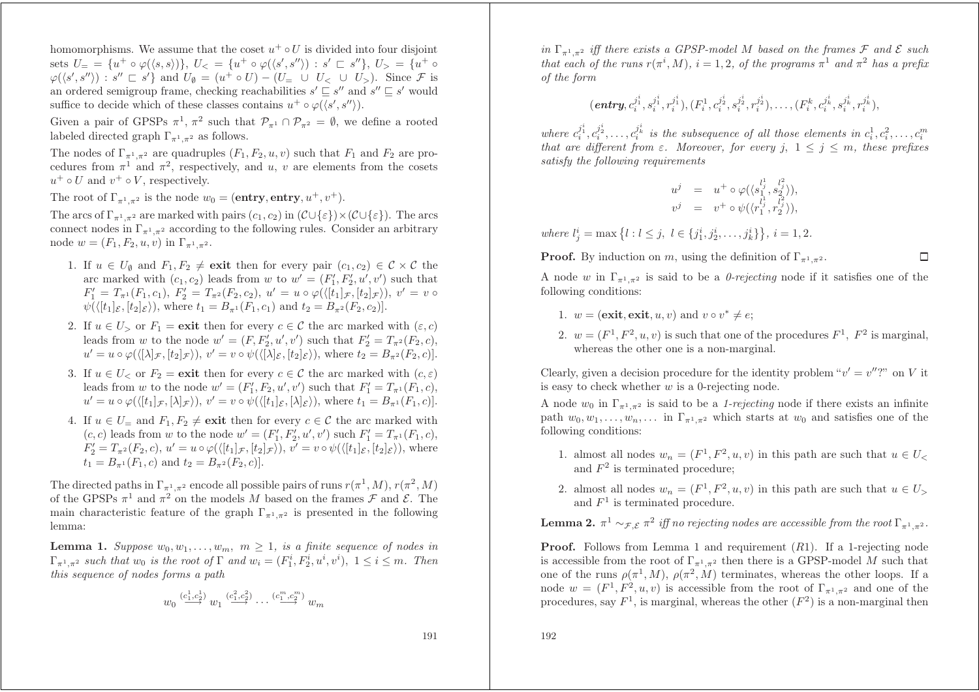homomorphisms. We assume that the coset  $u^+ \circ U$  is divided into four disjoint  $s$ ets  $U_- = \{ u^+ \circ \varphi (\langle s, s \rangle) \}, \ U_< = \{ u^+ \circ \varphi (\langle s', s'' \rangle) \, : \, s' \sqsubset s'' \}, \ U_> = \{ u^+ \circ \varphi (\langle s', s'' \rangle) \}$  $\varphi(\langle s',s'' \rangle) : s'' \sqsubset s' \}$  and  $U_{\emptyset} = (u^+ \circ U) - (U_- \cup U_< \cup U_>)$ . Since F is an ordered semigroup frame, checking reachabilities  $s' \sqsubseteq s''$  and  $s'' \sqsubseteq s'$  would suffice to decide which of these classes contains  $u^+ \circ \varphi(\langle s', s'' \rangle)$ .

Given a pair of GPSPs  $\pi^1$ ,  $\pi^2$  such that  $\mathcal{P}_{\pi^1} \cap \mathcal{P}_{\pi^2} = \emptyset$ , we define a rooted labeled directed graph  $\Gamma_{\pi^1,\pi^2}$  as follows.

The nodes of  $\Gamma_{\pi^1,\pi^2}$  are quadruples  $(F_1,F_2,u,v)$  such that  $F_1$  and  $F_2$  are procedures from  $\pi^1$  and  $\pi^2$ , respectively, and u, v are elements from the cosets  $u^+ \circ U$  and  $v^+ \circ V$ , respectively.

The root of  $\Gamma_{\pi^1, \pi^2}$  is the node  $w_0 = (\text{entry}, \text{entry}, u^+, v^+).$ 

The arcs of  $\Gamma_{\pi^1,\pi^2}$  are marked with pairs  $(c_1,c_2)$  in  $(\mathcal{C}\cup\{\varepsilon\})\times(\mathcal{C}\cup\{\varepsilon\})$ . The arcs connect nodes in  $\Gamma_{\pi^1,\pi^2}$  according to the following rules. Consider an arbitrary node  $w = (F_1, F_2, u, v)$  in  $\Gamma_{\pi^1, \pi^2}$ .

- 1. If  $u \in U_{\emptyset}$  and  $F_1, F_2 \neq \textbf{exit}$  then for every pair  $(c_1, c_2) \in \mathcal{C} \times \mathcal{C}$  the arc marked with  $(c_1, c_2)$  leads from w to  $w' = (F'_1, F'_2, u', v')$  such that  $F_1' = T_{\pi^1}(F_1, c_1),\ F_2' = T_{\pi^2}(F_2, c_2),\ u' = u\circ\varphi(\langle [t_1]_{\mathcal{F}}, [t_2]_{\mathcal{F}}\rangle),\ v' = v\circ$  $\psi(\langle [t_1]_\mathcal{E}, [t_2]_\mathcal{E}), \text{ where } t_1 = B_{\pi^1}(F_1, c_1) \text{ and } t_2 = B_{\pi^2}(F_2, c_2)].$
- 2. If  $u \in U$ , or  $F_1 = \textbf{exit}$  then for every  $c \in \mathcal{C}$  the arc marked with  $(\varepsilon, c)$ leads from w to the node  $w' = (F, F'_2, u', v')$  such that  $F'_2 = T_{\pi^2}(F_2, c)$ ,  $u'=u\circ\varphi (\langle [\lambda]_\mathcal{F},[t_2]_\mathcal{F})),\, v'=v\circ\psi (\langle [\lambda]_\mathcal{E},[t_2]_\mathcal{E})),\,\text{where}\,\, t_2=B_{\pi^2}(F_2,c)].$
- 3. If  $u \in U_{<}$  or  $F_2 = \textbf{exit}$  then for every  $c \in \mathcal{C}$  the arc marked with  $(c, \varepsilon)$ leads from w to the node  $w' = (F'_1, F_2, u', v')$  such that  $F'_1 = T_{\pi^1}(F_1, c)$ ,  $u' = u \circ \varphi (\langle [t_1]_{\mathcal{F}}, [\lambda]_{\mathcal{F}}) ), v' = v \circ \psi (\langle [t_1]_{\mathcal{E}}, [\lambda]_{\mathcal{E}}) ), \text{ where } t_1 = B_{\pi^1}(F_1, c)].$
- 4. If  $u \in U$ <sub>=</sub> and  $F_1, F_2 \neq \textbf{exit}$  then for every  $c \in \mathcal{C}$  the arc marked with  $(c, c)$  leads from w to the node  $w' = (F'_1, F'_2, u', v')$  such  $F'_1 = T_{\pi^1}(F_1, c)$ ,  $F_2' = T_{\pi^2}(F_2, c), u' = u \circ \varphi(\langle [t_1]_{\mathcal{F}}, [t_2]_{\mathcal{F}} \rangle), v' = v \circ \psi(\langle [t_1]_{\mathcal{E}}, [t_2]_{\mathcal{E}} \rangle),$  where  $t_1 = B_{\pi^1}(F_1, c)$  and  $t_2 = B_{\pi^2}(F_2, c)$ .

The directed paths in  $\Gamma_{\pi^1,\pi^2}$  encode all possible pairs of runs  $r(\pi^1, M), r(\pi^2, M)$ of the GPSPs  $\pi^1$  and  $\pi^2$  on the models M based on the frames  $\mathcal F$  and  $\mathcal E$ . The main characteristic feature of the graph  $\Gamma_{\pi^1,\pi^2}$  is presented in the following lemma:

**Lemma 1.** Suppose  $w_0, w_1, \ldots, w_m, m \ge 1$ , is a finite sequence of nodes in  $\Gamma_{\pi^1,\pi^2}$  such that  $w_0$  is the root of  $\Gamma$  and  $w_i = (F_1^i, F_2^i, u^i, v^i), 1 \leq i \leq m$ . Then *this sequence of nodes forms <sup>a</sup> path*

$$
w_0 \stackrel{(c_1^1, c_2^1)}{\longrightarrow} w_1 \stackrel{(c_1^2, c_2^2)}{\longrightarrow} \cdots \stackrel{(c_1^m, c_2^m)}{\longrightarrow} w_m
$$

 $\int f(x, y) \, dx \leq f(x, y)$  *iff there exists* a GPSP-model M based on the frames F and E such that each of the runs  $r(\pi^i, M)$ ,  $i = 1, 2$ , of the programs  $\pi^1$  and  $\pi^2$  has a prefix *of the form*

$$
(\textit{entry},c^{j^i_1}_i,s^{j^i_1}_i,r^{j^i_1}_i),(F^1_i,c^{j^i_2}_i,s^{j^i_2}_i,r^{j^i_2}_i),\ldots,(F^k_i,c^{j^i_k}_i,s^{j^i_k}_i,r^{j^i_k}_i),
$$

 $where \ c_i^{j_1^i}, c_i^{j_2^i}, \ldots, c_i^{j_k^i} \text{ is the subsequence of all those elements in } c_i^1, c_i^2, \ldots, c_i^m$  $$ *satisfy the following requirements*

$$
\begin{array}{rcl} u^j & = & u^+ \circ \varphi (\langle s_1^{l^1_j}, s_2^{l^2_j} \rangle), \\ v^j & = & v^+ \circ \psi (\langle r_1^{l^1_j}, r_2^{l^2_j} \rangle), \end{array}
$$

 $where l_j^i = \max\left\{l : l \leq j, l \in \{j_1^i, j_2^i, \ldots, j_k^i\}\right\}, i = 1, 2.$ 

**Proof.** By induction on m, using the definition of  $\Gamma_{\pi^1, \pi^2}$ .

A node w in  $\Gamma_{\pi^1,\pi^2}$  is said to be a *0-rejecting* node if it satisfies one of the following conditions:

 $\Box$ 

- 1.  $w = ($ **exit**, **exit**, *u*, *v* $)$  and  $v \circ v^* \neq e$ ;
- 2.  $w = (F^1, F^2, u, v)$  is such that one of the procedures  $F^1$ ,  $F^2$  is marginal, whereas the other one is <sup>a</sup> non-marginal.

Clearly, given a decision procedure for the identity problem " $v' = v''$ ?" on V it is easy to check whether  $w$  is a 0-rejecting node.

A node  $w_0$  in  $\Gamma_{\pi^1,\pi^2}$  is said to be a *1-rejecting* node if there exists an infinite path  $w_0, w_1, \ldots, w_n, \ldots$  in  $\Gamma_{\pi^1, \pi^2}$  which starts at  $w_0$  and satisfies one of the following conditions:

- 1. almost all nodes  $w_n = (F^1, F^2, u, v)$  in this path are such that  $u \in U$ and  $F^2$  is terminated procedure;
- 2. almost all nodes  $w_n = (F^1, F^2, u, v)$  in this path are such that  $u \in U$ and  $F<sup>1</sup>$  is terminated procedure.

**Lemma 2.**  $\pi^1 \sim_{\mathcal{F},\mathcal{E}} \pi^2$  iff no rejecting nodes are accessible from the root  $\Gamma_{\pi^1,\pi^2}.$ 

**Proof.** Follows from Lemma 1 and requirement  $(R1)$ . If a 1-rejecting node is accessible from the root of  $\Gamma_{\pi^1,\pi^2}$  then there is a GPSP-model M such that one of the runs  $\rho(\pi^1, M)$ ,  $\rho(\pi^2, M)$  terminates, whereas the other loops. If a node  $w = (F^1, F^2, u, v)$  is accessible from the root of  $\Gamma_{\pi^1, \pi^2}$  and one of the procedures, say  $F^1$ , is marginal, whereas the other  $(F^2)$  is a non-marginal then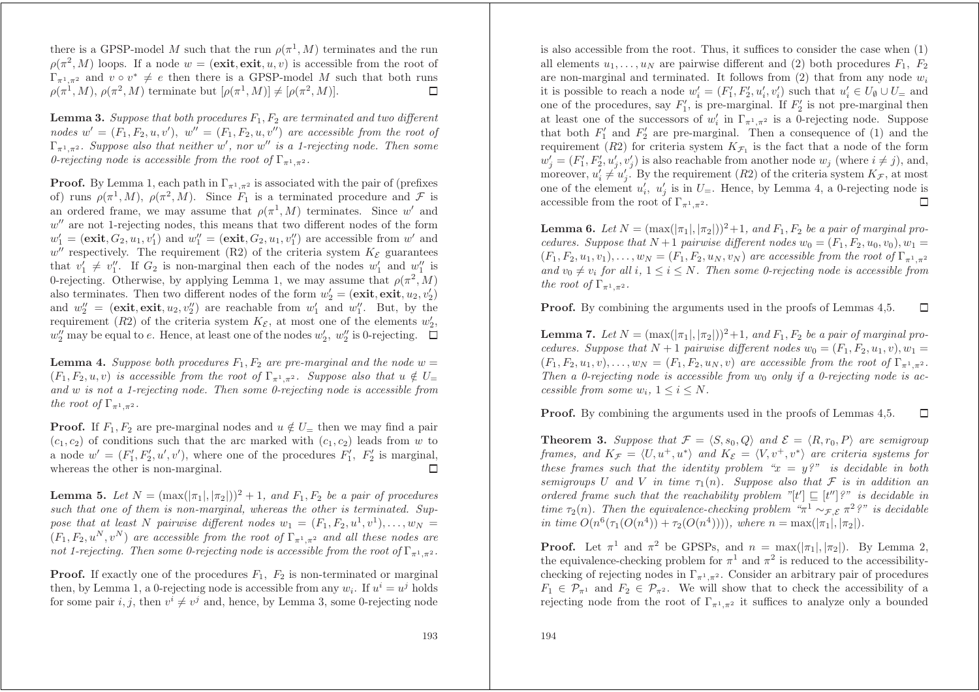there is a GPSP-model M such that the run  $\rho(\pi^+, M)$  terminates and the run  $\rho(\pi^2, M)$  loops. If a node  $w = ($ **exit**, **exit**,  $u, v$  is accessible from the root of  $\Gamma_{\pi^1,\pi^2}$  and  $v \circ v^* \neq e$  then there is a GPSP-model M such that both runs  $\Box$  $\rho(\pi^1, M), \, \rho(\pi^2, M)$  terminate but  $[\rho(\pi^1, M)] \neq [\rho(\pi^2, M)].$ 

**Lemma** 3. Suppose that both procedures  $F_1, F_2$  are terminated and two different  $\mathbf{p} = (F_1, F_2, u, v'), \quad w'' = (F_1, F_2, u, v'')$  are accessible from the root of  $\Gamma_{\pi^1,\pi^2}$ . Suppose also that neither w', nor w'' is a 1-rejecting node. Then some *0-rejecting* node is accessible from the root of  $\Gamma_{\pi^1,\pi^2}$ .

**Proof.** By Lemma 1, each path in  $\Gamma_{\pi^1, \pi^2}$  is associated with the pair of (prefixes of) runs  $\rho(\pi^1, M)$ ,  $\rho(\pi^2, M)$ . Since  $F_1$  is a terminated procedure and  $\mathcal F$  is an ordered frame, we may assume that  $\rho(\pi^1, M)$  terminates. Since w' and  $w''$  are not 1-rejecting nodes, this means that two different nodes of the form  $w'_1 = ($ **exit**,  $G_2, u_1, v'_1)$  and  $w''_1 = ($ **exit**,  $G_2, u_1, v''_1)$  are accessible from  $w'$  and  $w''$  respectively. The requirement (R2) of the criteria system  $K_{\mathcal{E}}$  guarantees that  $v'_1 \neq v''_1$ . If  $G_2$  is non-marginal then each of the nodes  $w'_1$  and  $w''_1$  is 0-rejecting. Otherwise, by applying Lemma 1, we may assume that  $\rho(\pi^2, M)$ also terminates. Then two different nodes of the form  $w_2' = ($ **exit**, **exit**,  $u_2, v_2'$ ) and  $w_2'' = (\text{exit}, \text{exit}, u_2, v_2'')$  are reachable from  $w_1'$  and  $w_1''$ . But, by the requirement (R2) of the criteria system  $K_{\mathcal{E}}$ , at most one of the elements  $w_2'$ ,  $w_2''$  may be equal to e. Hence, at least one of the nodes  $w_2'$ ,  $w_2''$  is 0-rejecting.

**Lemma** 4. Suppose both procedures  $F_1, F_2$  are pre-marginal and the node  $w =$  $(F_1, F_2, u, v)$  is accessible from the root of  $\Gamma_{\pi^1, \pi^2}$ . Suppose also that  $u \notin U$ and  $w$  is not a 1-rejecting node. Then some 0-rejecting node is accessible from *the root of*  $\Gamma_{\pi^1, \pi^2}$ *.* 

**Proof.** If  $F_1, F_2$  are pre-marginal nodes and  $u \notin U$ <sub>=</sub> then we may find a pair  $(c_1, c_2)$  of conditions such that the arc marked with  $(c_1, c_2)$  leads from w to a node  $w' = (F'_1, F'_2, u', v')$ , where one of the procedures  $F'_1, F'_2$  is marginal, whereas the other is non-marginal.  $\Box$ 

**Lemma 5.** Let  $N = (\max(|\pi_1|, |\pi_2|))^2 + 1$ , and  $F_1, F_2$  be a pair of procedures such that one of them is non-marginal, whereas the other is terminated. Suppose that at least N pairwise different nodes  $w_1 = (F_1, F_2, u^1, v^1), \ldots, w_N =$  $(F_1, F_2, u^N, v^N)$  are accessible from the root of  $\Gamma_{\pi^1, \pi^2}$  and all these nodes are not 1-rejecting. Then some 0-rejecting node is accessible from the root of  $\Gamma_{\pi^1,\pi^2}.$ 

**Proof.** If exactly one of the procedures  $F_1$ ,  $F_2$  is non-terminated or marginal then, by Lemma 1, a 0-rejecting node is accessible from any  $w_i$ . If  $u^i = u^j$  holds for some pair i, j, then  $v^i \neq v^j$  and, hence, by Lemma 3, some 0-rejecting node is also accessible from the root. Thus, it suffices to consider the case when (1) all elements  $u_1, \ldots, u_N$  are pairwise different and (2) both procedures  $F_1, F_2$ are non-marginal and terminated. It follows from  $(2)$  that from any node  $w_i$ it is possible to reach a node  $w_i' = (F_1', F_2', u_i', v_i')$  such that  $u_i' \in U_\emptyset \cup U_\equiv$  and one of the procedures, say  $F'_1$ , is pre-marginal. If  $F'_2$  is not pre-marginal then at least one of the successors of  $w_i'$  in  $\Gamma_{\pi^1,\pi^2}$  is a 0-rejecting node. Suppose that both  $F_1'$  and  $F_2'$  are pre-marginal. Then a consequence of (1) and the requirement (R2) for criteria system  $K_{\mathcal{F}_1}$  is the fact that a node of the form  $w'_{j} = (F'_{1}, F'_{2}, u'_{j}, v'_{j})$  is also reachable from another node  $w_{j}$  (where  $i \neq j$ ), and, moreover,  $u'_i \neq u'_j$ . By the requirement  $(R2)$  of the criteria system  $K_{\mathcal{F}}$ , at most one of the element  $u'_i$ ,  $u'_j$  is in  $U$ <sub>=</sub>. Hence, by Lemma 4, a 0-rejecting node is  $\Box$ accessible from the root of  $\Gamma_{\pi^1, \pi^2}$ .

**Lemma 6.** Let  $N = (\max(|\pi_1|, |\pi_2|))^2 + 1$ , and  $F_1, F_2$  be a pair of marginal pro*cedures.* Suppose that  $N+1$  pairwise different nodes  $w_0 = (F_1, F_2, u_0, v_0), w_1 =$  $(F_1, F_2, u_1, v_1), \ldots, w_N = (F_1, F_2, u_N, v_N)$  are accessible from the root of  $\Gamma_{\pi^1, \pi^2}$  $and v_0 \neq v_i$  for all  $i, 1 \leq i \leq N$ . Then some 0-rejecting node is accessible from *the root of*  $\Gamma_{\pi^1, \pi^2}$ *.* 

Proof. By combining the arguments used in the proofs of Lemmas 4,5.  $\Box$ 

**Lemma 7.** Let  $N = (\max(|\pi_1|, |\pi_2|))^2 + 1$ , and  $F_1, F_2$  be a pair of marginal pro*cedures.* Suppose that  $N+1$  pairwise different nodes  $w_0 = (F_1, F_2, u_1, v), w_1 =$  $(F_1, F_2, u_1, v), \ldots, w_N = (F_1, F_2, u_N, v)$  are accessible from the root of  $\Gamma_{\pi^1, \pi^2}$ . Then a 0-rejecting node is accessible from  $w_0$  only if a 0-rejecting node is ac*cessible from some*  $w_i$ ,  $1 \leq i \leq N$ .

Proof. By combining the arguments used in the proofs of Lemmas 4,5.  $\Box$ 

**Theorem 3.** Suppose that  $\mathcal{F} = \langle S, s_0, Q \rangle$  and  $\mathcal{E} = \langle R, r_0, P \rangle$  are semigroup *frames,* and  $K_{\mathcal{F}} = \langle U, u^+, u^* \rangle$  and  $K_{\mathcal{E}} = \langle V, v^+, v^* \rangle$  are criteria systems for these frames such that the identity problem " $x = y$ ?" is decidable in both  $s$ *emigroups* U and V *in* time  $\tau_1(n)$ *. Suppose also that* F *is in addition an* ordered frame such that the reachability problem  $[[t'] \sqsubseteq [t'']$ ?" is decidable in  $time \tau_2(n)$ *. Then the equivalence-checking problem*  $\pi^1 \sim_{\mathcal{F}, \mathcal{E}} \pi^2$ ?" is decidable  $\int$ *in*  $\lim_{n \to \infty} O(n^6(\tau_1(O(n^4)) + \tau_2(O(n^4))))$ *,*  $\lim_{n \to \infty} \lim_{n \to \infty} (|\pi_1|, |\pi_2|)$ *.* 

**Proof.** Let  $\pi^1$  and  $\pi^2$  be GPSPs, and  $n = \max(|\pi_1|, |\pi_2|)$ . By Lemma 2, the equivalence-checking problem for  $\pi^1$  and  $\pi^2$  is reduced to the accessibilitychecking of rejecting nodes in  $\Gamma_{\pi^1,\pi^2}$ . Consider an arbitrary pair of procedures  $F_1 \in \mathcal{P}_{\pi^1}$  and  $F_2 \in \mathcal{P}_{\pi^2}$ . We will show that to check the accessibility of a rejecting node from the root of  $\Gamma_{\pi^1,\pi^2}$  it suffices to analyze only a bounded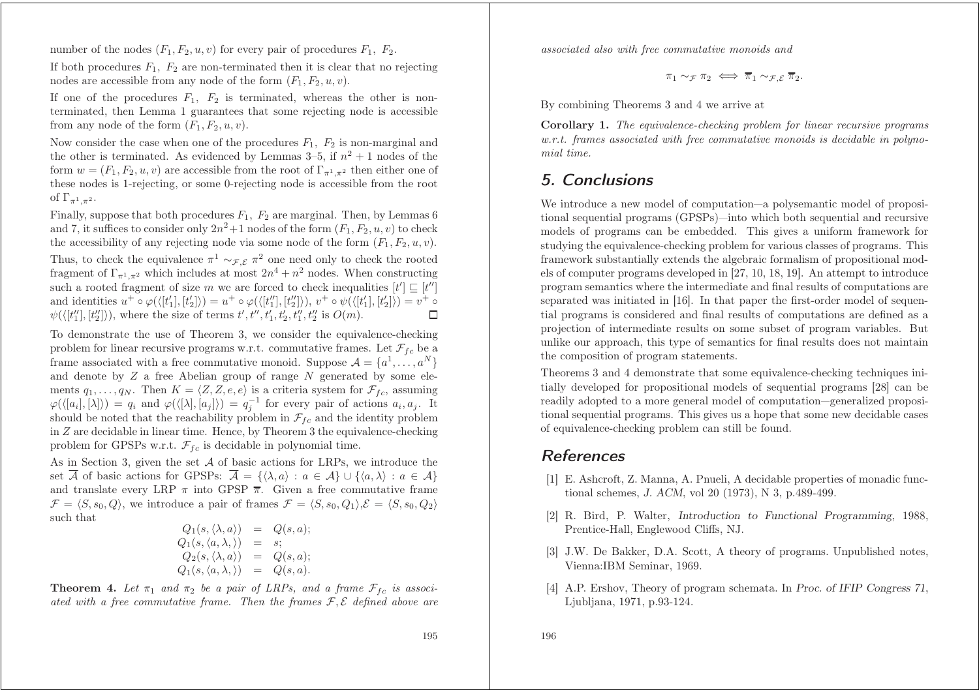number of the nodes  $(F_1, F_2, u, v)$  for every pair of procedures  $F_1, F_2$ .

If both procedures  $F_1$ ,  $F_2$  are non-terminated then it is clear that no rejecting nodes are accessible from any node of the form  $(F_1, F_2, u, v)$ .

If one of the procedures  $F_1$ ,  $F_2$  is terminated, whereas the other is nonterminated, then Lemma 1 guarantees that some rejecting node is accessible from any node of the form  $(F_1, F_2, u, v)$ .

Now consider the case when one of the procedures  $F_1$ ,  $F_2$  is non-marginal and the other is terminated. As evidenced by Lemmas  $3-5$ , if  $n^2 + 1$  nodes of the form  $w = (F_1, F_2, u, v)$  are accessible from the root of  $\Gamma_{\pi^1, \pi^2}$  then either one of these nodes is 1-rejecting, or some 0-rejecting node is accessible from the root of  $\Gamma_{\pi^1,\pi^2}$ .

Finally, suppose that both procedures  $F_1$ ,  $F_2$  are marginal. Then, by Lemmas 6 and 7, it suffices to consider only  $2n^2+1$  nodes of the form  $(F_1, F_2, u, v)$  to check the accessibility of any rejecting node via some node of the form  $(F_1, F_2, u, v)$ . Thus, to check the equivalence  $\pi^1 \sim_{\mathcal{F}, \mathcal{E}} \pi^2$  one need only to check the rooted fragment of  $\Gamma_{\pi^1,\pi^2}$  which includes at most  $2n^4 + n^2$  nodes. When constructing such a rooted fragment of size m we are forced to check inequalities  $[t'] \sqsubseteq [t'']$ and identities  $u^+ \circ \varphi (\langle [t'_1], [t'_2] \rangle) = u^+ \circ \varphi (\langle [t''_1], [t''_2] \rangle), v^+ \circ \psi (\langle [t'_1], [t'_2] \rangle) = v^+ \circ$  $\Box$  $\psi(\langle [t_1''], [t_2''] \rangle),$  where the size of terms  $t', t'', t_1', t_2', t_1'', t_2''$  is  $O(m)$ .

To demonstrate the use of Theorem 3, we consider the equivalence-checking problem for linear recursive programs w.r.t. commutative frames. Let  $\mathcal{F}_{fc}$  be a frame associated with a free commutative monoid. Suppose  $\mathcal{A} = \{a^1, \ldots, a^N\}$ and denote by Z <sup>a</sup> free Abelian group of range N generated by some elements  $q_1, \ldots, q_N$ . Then  $K = \langle Z, Z, e, e \rangle$  is a criteria system for  $\mathcal{F}_{fc}$ , assuming  $\varphi(\langle [a_i], [\lambda] \rangle) = q_i$  and  $\varphi(\langle [\lambda], [a_j] \rangle) = q_j^{-1}$  for every pair of actions  $a_i, a_j$ . It should be noted that the reachability problem in  $\mathcal{F}_{fc}$  and the identity problem in Z are decidable in linear time. Hence, by Theorem 3 the equivalence-checking problem for GPSPs w.r.t.  $\mathcal{F}_{fc}$  is decidable in polynomial time.

As in Section 3, given the set A of basic actions for LRPs, we introduce the set A of basic actions for GPSPs:  $\mathcal{A} = \{ \langle \lambda, a \rangle : a \in \mathcal{A} \} \cup \{ \langle a, \lambda \rangle : a \in \mathcal{A} \}$ and translate every LRP  $\pi$  into GPSP  $\overline{\pi}$ . Given a free commutative frame  $\mathcal{F} = \langle S, s_0, Q \rangle$ , we introduce a pair of frames  $\mathcal{F} = \langle S, s_0, Q_1 \rangle, \mathcal{E} = \langle S, s_0, Q_2 \rangle$ such that

$$
Q_1(s, \langle \lambda, a \rangle) = Q(s, a);
$$
  
\n
$$
Q_1(s, \langle a, \lambda, \rangle) = s;
$$
  
\n
$$
Q_2(s, \langle \lambda, a \rangle) = Q(s, a);
$$
  
\n
$$
Q_1(s, \langle a, \lambda, \rangle) = Q(s, a).
$$

**Theorem 4.** Let  $\pi_1$  and  $\pi_2$  be a pair of LRPs, and a frame  $\mathcal{F}_{fc}$  is associated with a free commutative frame. Then the frames  $\mathcal{F}, \mathcal{E}$  defined above are *associated also with free commutative monoids and*

$$
\pi_1 \sim_{\mathcal{F}} \pi_2 \iff \overline{\pi}_1 \sim_{\mathcal{F}, \mathcal{E}} \overline{\pi}_2.
$$

By combining Theorems 3 and 4 we arrive at

**Corollary 1.** *The equivalence-checking problem for linear recursive programs*  $w.r.t.$  frames associated with free commutative monoids is decidable in polyno*mial time.*

# 5. Conclusions

We introduce a new model of computation—a polysemantic model of propositional sequential programs (GPSPs)—into which both sequential and recursive models of programs can be embedded. This gives <sup>a</sup> uniform framework for studying the equivalence-checking problem for various classes of programs. This framework substantially extends the algebraic formalism of propositional models of computer programs developed in [27, 10, 18, 19]. An attempt to introduce program semantics where the intermediate and final results of computations are separated was initiated in [16]. In that paper the first-order model of sequential programs is considered and final results of computations are defined as <sup>a</sup> projection of intermediate results on some subset of program variables. But unlike our approach, this type of semantics for final results does not maintain the composition of program statements.

Theorems 3 and 4 demonstrate that some equivalence-checking techniques initially developed for propositional models of sequential programs [28] can be readily adopted to <sup>a</sup> more general model of computation—generalized propositional sequential programs. This gives us <sup>a</sup> hope that some new decidable cases of equivalence-checking problem can still be found.

## References

- [1] E. Ashcroft, Z. Manna, A. Pnueli, A decidable properties of monadic functional schemes, *J. ACM*, vol <sup>20</sup> (1973), <sup>N</sup> 3, p.489-499.
- [2] R. Bird, P. Walter, *Introduction to Functional Programming*, 1988, Prentice-Hall, Englewood Cliffs, NJ.
- [3] J.W. De Bakker, D.A. Scott, A theory of programs. Unpublished notes, Vienna:IBM Seminar, 1969.
- [4] A.P. Ershov, Theory of program schemata. In *Proc. of IFIP Congress <sup>71</sup>*, Ljubljana, 1971, p.93-124.

196